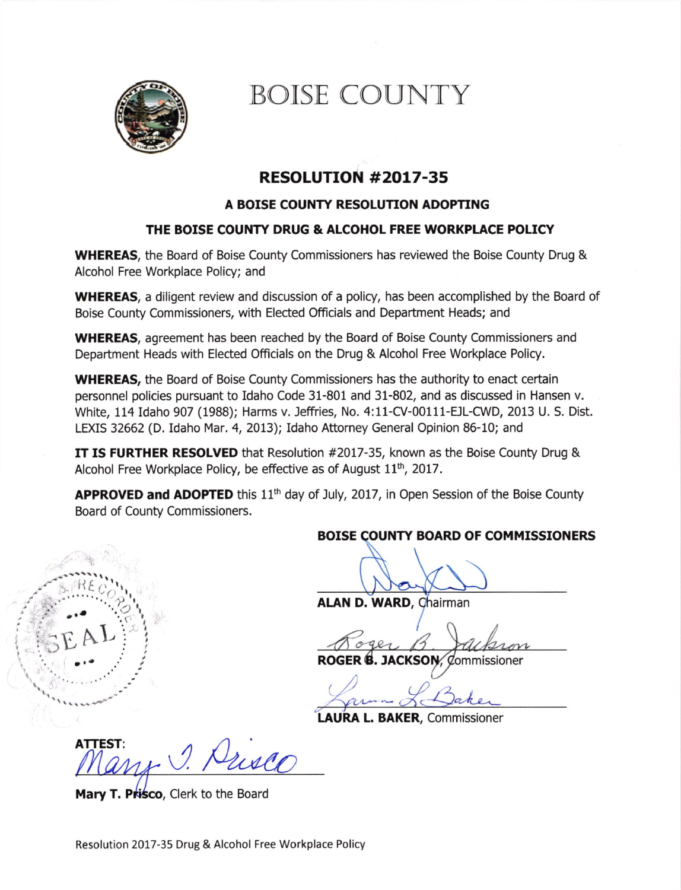

# BOISE COUNTY

## RESOLUTION #2017-35

#### A BOISE COUNTY RESOLUTION ADOPTING

### THE BOISE COUNTY DRUG & ALCOHOL FREE WORKPLACE POLICY

WHEREAS, the Board of Boise County Commissioners has reviewed the Boise County Drug & Alcohol Free Workplace Policy; and

WHEREAS, a diligent review and discussion of a policy, has been accomplished by the Board of Boise County Commissioners, with Elected Officials and Department Heads; and

WHEREAS, agreement has been reached by the Board of Boise County Commissioners and Department Heads with Elected Officials on the Drug & Alcohol Free Workplace Policy.

WHEREAS, the Board of Boise County Commissioners has the authority to enact certain personnel policies pursuant to Idaho Code 31-801 and 31-802, and as discussed in Hansen v. White, 114 Idaho 907 (1988); Harms v. Jeffries, No. 4:11-CV-00111-EJL-CWD, 2013 U. S. Dist. LEXIS 32662 (D. Idaho Mar. 4, 2013); Idaho Attorney General Opinion 86-10; and

IT IS FURTHER RESOLVED that Resolution #2017-35, known as the Boise County Drug & Alcohol Free Workplace Policy, be effective as of August  $11<sup>th</sup>$ , 2017.

**APPROVED and ADOPTED** this 11<sup>th</sup> day of July, 2017, in Open Session of the Boise County Board of County Commissioners.

### BOISE OUNTY BOARD OF COMMISSIONERS

ALAN D. WARD, Chairman

ROGER **B. JACKSON**, Commissioner

LAURA L. BAKER, Commissioner

ATTEST:  $\bigcirc$ .

Mary T. Prisco, Clerk to the Board